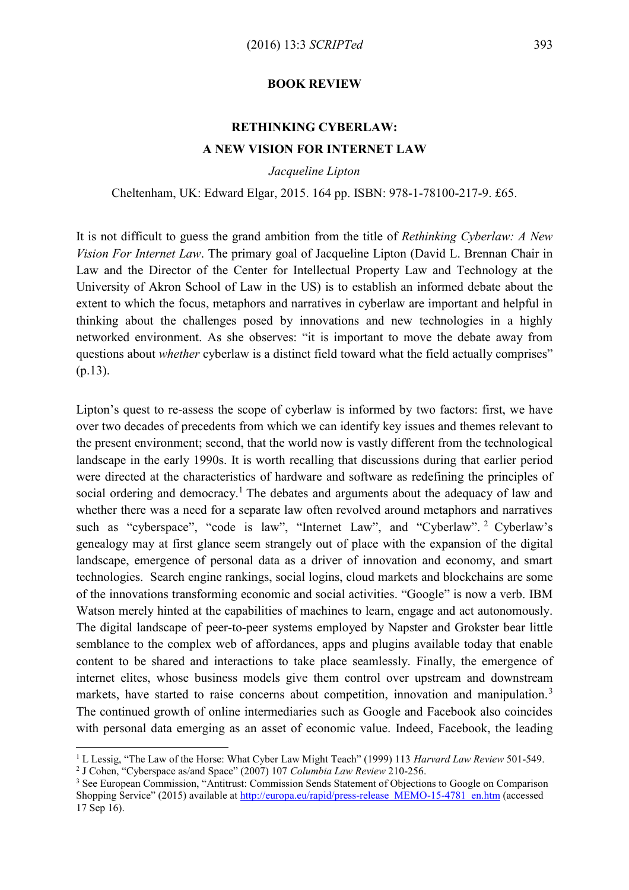## **BOOK REVIEW**

## **RETHINKING CYBERLAW: A NEW VISION FOR INTERNET LAW**

*Jacqueline Lipton*

Cheltenham, UK: Edward Elgar, 2015. 164 pp. ISBN: 978-1-78100-217-9. £65.

It is not difficult to guess the grand ambition from the title of *Rethinking Cyberlaw: A New Vision For Internet Law*. The primary goal of Jacqueline Lipton (David L. Brennan Chair in Law and the Director of the Center for Intellectual Property Law and Technology at the University of Akron School of Law in the US) is to establish an informed debate about the extent to which the focus, metaphors and narratives in cyberlaw are important and helpful in thinking about the challenges posed by innovations and new technologies in a highly networked environment. As she observes: "it is important to move the debate away from questions about *whether* cyberlaw is a distinct field toward what the field actually comprises" (p.13).

Lipton's quest to re-assess the scope of cyberlaw is informed by two factors: first, we have over two decades of precedents from which we can identify key issues and themes relevant to the present environment; second, that the world now is vastly different from the technological landscape in the early 1990s. It is worth recalling that discussions during that earlier period were directed at the characteristics of hardware and software as redefining the principles of social ordering and democracy.<sup>1</sup> The debates and arguments about the adequacy of law and whether there was a need for a separate law often revolved around metaphors and narratives such as "cyberspace", "code is law", "Internet Law", and "Cyberlaw". <sup>2</sup> Cyberlaw's genealogy may at first glance seem strangely out of place with the expansion of the digital landscape, emergence of personal data as a driver of innovation and economy, and smart technologies. Search engine rankings, social logins, cloud markets and blockchains are some of the innovations transforming economic and social activities. "Google" is now a verb. IBM Watson merely hinted at the capabilities of machines to learn, engage and act autonomously. The digital landscape of peer-to-peer systems employed by Napster and Grokster bear little semblance to the complex web of affordances, apps and plugins available today that enable content to be shared and interactions to take place seamlessly. Finally, the emergence of internet elites, whose business models give them control over upstream and downstream markets, have started to raise concerns about competition, innovation and manipulation.<sup>3</sup> The continued growth of online intermediaries such as Google and Facebook also coincides with personal data emerging as an asset of economic value. Indeed, Facebook, the leading

<sup>1</sup> L Lessig, "The Law of the Horse: What Cyber Law Might Teach" (1999) 113 *Harvard Law Review* 501-549.

<sup>2</sup> J Cohen, "Cyberspace as/and Space" (2007) 107 *Columbia Law Review* 210-256.

<sup>&</sup>lt;sup>3</sup> See European Commission, "Antitrust: Commission Sends Statement of Objections to Google on Comparison Shopping Service" (2015) available at [http://europa.eu/rapid/press-release\\_MEMO-15-4781\\_en.htm](http://europa.eu/rapid/press-release_MEMO-15-4781_en.htm) (accessed 17 Sep 16).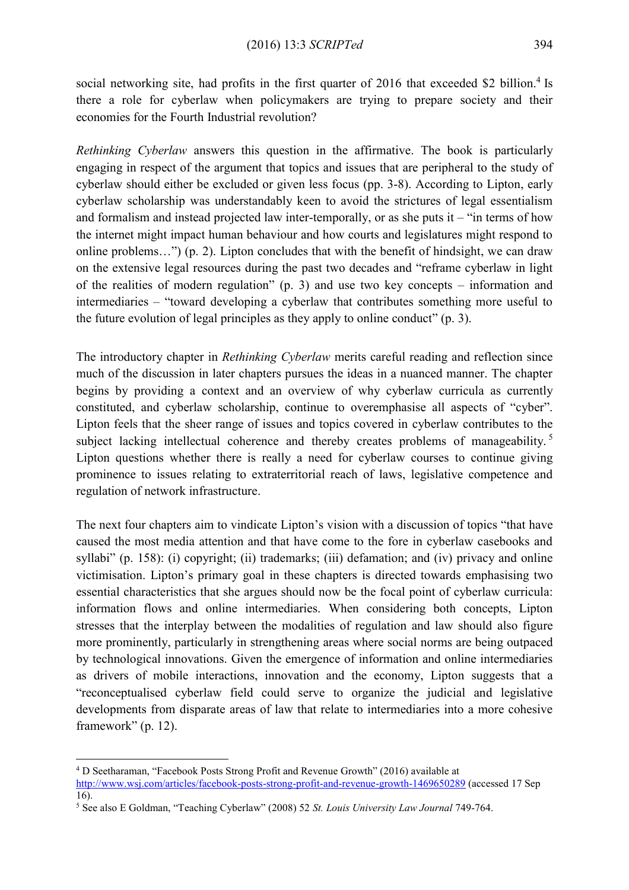social networking site, had profits in the first quarter of 2016 that exceeded \$2 billion.<sup>4</sup> Is there a role for cyberlaw when policymakers are trying to prepare society and their economies for the Fourth Industrial revolution?

*Rethinking Cyberlaw* answers this question in the affirmative. The book is particularly engaging in respect of the argument that topics and issues that are peripheral to the study of cyberlaw should either be excluded or given less focus (pp. 3-8). According to Lipton, early cyberlaw scholarship was understandably keen to avoid the strictures of legal essentialism and formalism and instead projected law inter-temporally, or as she puts it  $-$  "in terms of how the internet might impact human behaviour and how courts and legislatures might respond to online problems…") (p. 2). Lipton concludes that with the benefit of hindsight, we can draw on the extensive legal resources during the past two decades and "reframe cyberlaw in light of the realities of modern regulation" (p. 3) and use two key concepts – information and intermediaries – "toward developing a cyberlaw that contributes something more useful to the future evolution of legal principles as they apply to online conduct" (p. 3).

The introductory chapter in *Rethinking Cyberlaw* merits careful reading and reflection since much of the discussion in later chapters pursues the ideas in a nuanced manner. The chapter begins by providing a context and an overview of why cyberlaw curricula as currently constituted, and cyberlaw scholarship, continue to overemphasise all aspects of "cyber". Lipton feels that the sheer range of issues and topics covered in cyberlaw contributes to the subject lacking intellectual coherence and thereby creates problems of manageability.<sup>5</sup> Lipton questions whether there is really a need for cyberlaw courses to continue giving prominence to issues relating to extraterritorial reach of laws, legislative competence and regulation of network infrastructure.

The next four chapters aim to vindicate Lipton's vision with a discussion of topics "that have caused the most media attention and that have come to the fore in cyberlaw casebooks and syllabi" (p. 158): (i) copyright; (ii) trademarks; (iii) defamation; and (iv) privacy and online victimisation. Lipton's primary goal in these chapters is directed towards emphasising two essential characteristics that she argues should now be the focal point of cyberlaw curricula: information flows and online intermediaries. When considering both concepts, Lipton stresses that the interplay between the modalities of regulation and law should also figure more prominently, particularly in strengthening areas where social norms are being outpaced by technological innovations. Given the emergence of information and online intermediaries as drivers of mobile interactions, innovation and the economy, Lipton suggests that a "reconceptualised cyberlaw field could serve to organize the judicial and legislative developments from disparate areas of law that relate to intermediaries into a more cohesive framework" (p. 12).

<sup>4</sup> D Seetharaman, "Facebook Posts Strong Profit and Revenue Growth" (2016) available at <http://www.wsj.com/articles/facebook-posts-strong-profit-and-revenue-growth-1469650289> (accessed 17 Sep 16).

<sup>5</sup> See also E Goldman, "Teaching Cyberlaw" (2008) 52 *St. Louis University Law Journal* 749-764.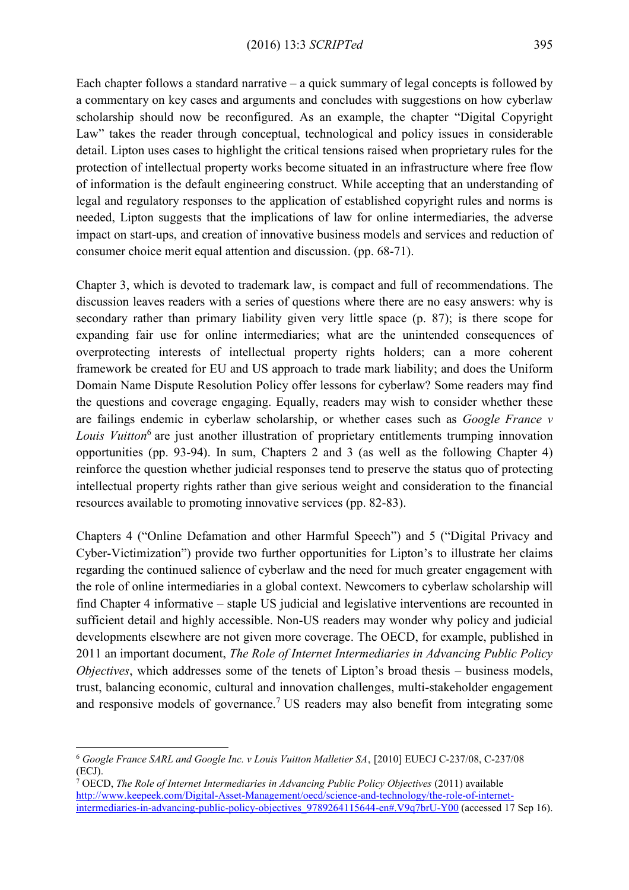Each chapter follows a standard narrative – a quick summary of legal concepts is followed by a commentary on key cases and arguments and concludes with suggestions on how cyberlaw scholarship should now be reconfigured. As an example, the chapter "Digital Copyright Law" takes the reader through conceptual, technological and policy issues in considerable detail. Lipton uses cases to highlight the critical tensions raised when proprietary rules for the protection of intellectual property works become situated in an infrastructure where free flow of information is the default engineering construct. While accepting that an understanding of legal and regulatory responses to the application of established copyright rules and norms is needed, Lipton suggests that the implications of law for online intermediaries, the adverse impact on start-ups, and creation of innovative business models and services and reduction of consumer choice merit equal attention and discussion. (pp. 68-71).

Chapter 3, which is devoted to trademark law, is compact and full of recommendations. The discussion leaves readers with a series of questions where there are no easy answers: why is secondary rather than primary liability given very little space (p. 87); is there scope for expanding fair use for online intermediaries; what are the unintended consequences of overprotecting interests of intellectual property rights holders; can a more coherent framework be created for EU and US approach to trade mark liability; and does the Uniform Domain Name Dispute Resolution Policy offer lessons for cyberlaw? Some readers may find the questions and coverage engaging. Equally, readers may wish to consider whether these are failings endemic in cyberlaw scholarship, or whether cases such as *Google France v*  Louis Vuitton<sup>6</sup> are just another illustration of proprietary entitlements trumping innovation opportunities (pp. 93-94). In sum, Chapters 2 and 3 (as well as the following Chapter 4) reinforce the question whether judicial responses tend to preserve the status quo of protecting intellectual property rights rather than give serious weight and consideration to the financial resources available to promoting innovative services (pp. 82-83).

Chapters 4 ("Online Defamation and other Harmful Speech") and 5 ("Digital Privacy and Cyber-Victimization") provide two further opportunities for Lipton's to illustrate her claims regarding the continued salience of cyberlaw and the need for much greater engagement with the role of online intermediaries in a global context. Newcomers to cyberlaw scholarship will find Chapter 4 informative – staple US judicial and legislative interventions are recounted in sufficient detail and highly accessible. Non-US readers may wonder why policy and judicial developments elsewhere are not given more coverage. The OECD, for example, published in 2011 an important document, *The Role of Internet Intermediaries in Advancing Public Policy Objectives*, which addresses some of the tenets of Lipton's broad thesis – business models, trust, balancing economic, cultural and innovation challenges, multi-stakeholder engagement and responsive models of governance.<sup>7</sup> US readers may also benefit from integrating some

<sup>6</sup> *Google France SARL and Google Inc. v Louis Vuitton Malletier SA*, [2010] EUECJ C-237/08, C-237/08 (ECJ).

<sup>7</sup> OECD, *The Role of Internet Intermediaries in Advancing Public Policy Objectives* (2011) available [http://www.keepeek.com/Digital-Asset-Management/oecd/science-and-technology/the-role-of-internet](http://www.keepeek.com/Digital-Asset-Management/oecd/science-and-technology/the-role-of-internet-intermediaries-in-advancing-public-policy-objectives_9789264115644-en#.V9q7brU-Y00)[intermediaries-in-advancing-public-policy-objectives\\_9789264115644-en#.V9q7brU-Y00](http://www.keepeek.com/Digital-Asset-Management/oecd/science-and-technology/the-role-of-internet-intermediaries-in-advancing-public-policy-objectives_9789264115644-en#.V9q7brU-Y00) (accessed 17 Sep 16).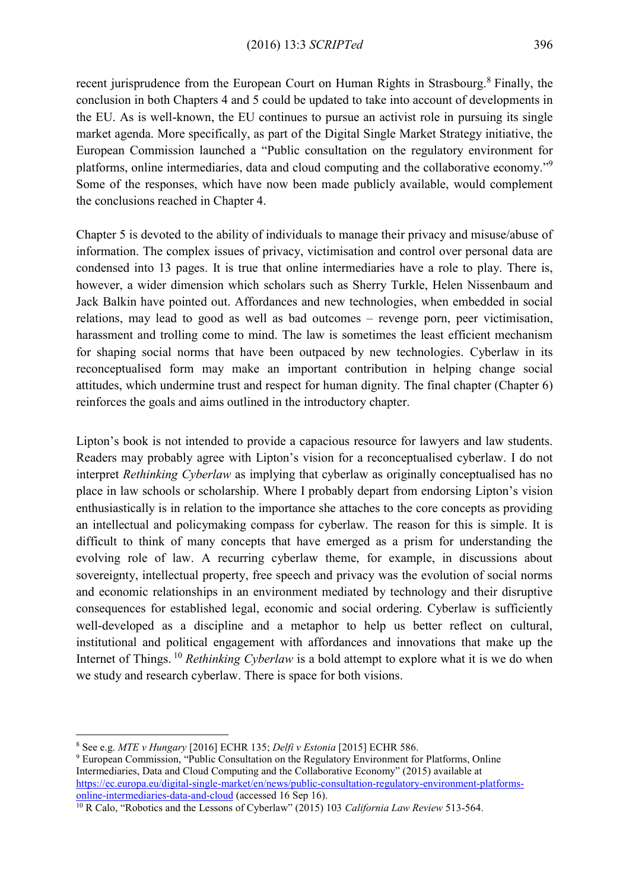recent jurisprudence from the European Court on Human Rights in Strasbourg.<sup>8</sup> Finally, the conclusion in both Chapters 4 and 5 could be updated to take into account of developments in the EU. As is well-known, the EU continues to pursue an activist role in pursuing its single market agenda. More specifically, as part of the Digital Single Market Strategy initiative, the European Commission launched a "Public consultation on the regulatory environment for platforms, online intermediaries, data and cloud computing and the collaborative economy."<sup>9</sup> Some of the responses, which have now been made publicly available, would complement the conclusions reached in Chapter 4.

Chapter 5 is devoted to the ability of individuals to manage their privacy and misuse/abuse of information. The complex issues of privacy, victimisation and control over personal data are condensed into 13 pages. It is true that online intermediaries have a role to play. There is, however, a wider dimension which scholars such as Sherry Turkle, Helen Nissenbaum and Jack Balkin have pointed out. Affordances and new technologies, when embedded in social relations, may lead to good as well as bad outcomes – revenge porn, peer victimisation, harassment and trolling come to mind. The law is sometimes the least efficient mechanism for shaping social norms that have been outpaced by new technologies. Cyberlaw in its reconceptualised form may make an important contribution in helping change social attitudes, which undermine trust and respect for human dignity. The final chapter (Chapter 6) reinforces the goals and aims outlined in the introductory chapter.

Lipton's book is not intended to provide a capacious resource for lawyers and law students. Readers may probably agree with Lipton's vision for a reconceptualised cyberlaw. I do not interpret *Rethinking Cyberlaw* as implying that cyberlaw as originally conceptualised has no place in law schools or scholarship. Where I probably depart from endorsing Lipton's vision enthusiastically is in relation to the importance she attaches to the core concepts as providing an intellectual and policymaking compass for cyberlaw. The reason for this is simple. It is difficult to think of many concepts that have emerged as a prism for understanding the evolving role of law. A recurring cyberlaw theme, for example, in discussions about sovereignty, intellectual property, free speech and privacy was the evolution of social norms and economic relationships in an environment mediated by technology and their disruptive consequences for established legal, economic and social ordering. Cyberlaw is sufficiently well-developed as a discipline and a metaphor to help us better reflect on cultural, institutional and political engagement with affordances and innovations that make up the Internet of Things. <sup>10</sup> *Rethinking Cyberlaw* is a bold attempt to explore what it is we do when we study and research cyberlaw. There is space for both visions.

<sup>8</sup> See e.g. *MTE v Hungary* [2016] ECHR 135; *Delfi v Estonia* [2015] ECHR 586.

<sup>9</sup> European Commission, "Public Consultation on the Regulatory Environment for Platforms, Online Intermediaries, Data and Cloud Computing and the Collaborative Economy" (2015) available at [https://ec.europa.eu/digital-single-market/en/news/public-consultation-regulatory-environment-platforms](https://ec.europa.eu/digital-single-market/en/news/public-consultation-regulatory-environment-platforms-online-intermediaries-data-and-cloud)[online-intermediaries-data-and-cloud](https://ec.europa.eu/digital-single-market/en/news/public-consultation-regulatory-environment-platforms-online-intermediaries-data-and-cloud) (accessed 16 Sep 16).

<sup>&</sup>lt;sup>10</sup> R Calo, "Robotics and the Lessons of Cyberlaw" (2015) 103 *California Law Review* 513-564.